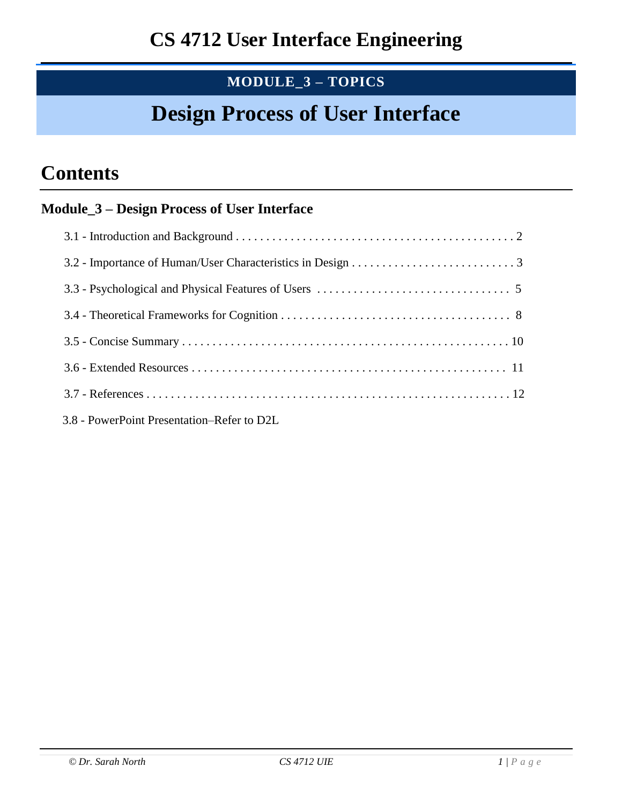# **MODULE\_3 – TOPICS**

# **Design Process of User Interface**

# **Contents**

# **Module\_3 – Design Process of User Interface**

| 3.8 - PowerPoint Presentation–Refer to D2L |
|--------------------------------------------|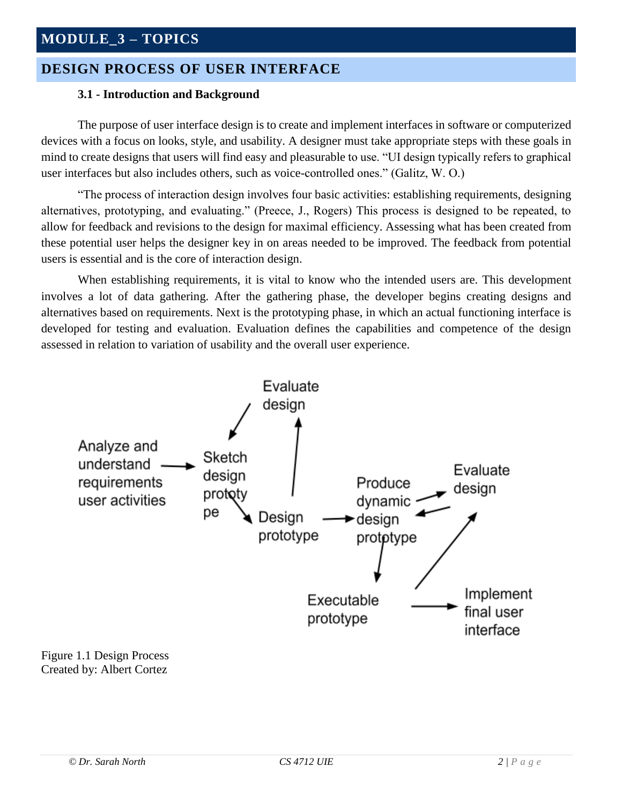# **MODULE\_3 – TOPICS**

## **DESIGN PROCESS OF USER INTERFACE**

#### **3.1 - Introduction and Background**

The purpose of user interface design is to create and implement interfaces in software or computerized devices with a focus on looks, style, and usability. A designer must take appropriate steps with these goals in mind to create designs that users will find easy and pleasurable to use. "UI design typically refers to graphical user interfaces but also includes others, such as voice-controlled ones." (Galitz, W. O.)

"The process of interaction design involves four basic activities: establishing requirements, designing alternatives, prototyping, and evaluating." (Preece, J., Rogers) This process is designed to be repeated, to allow for feedback and revisions to the design for maximal efficiency. Assessing what has been created from these potential user helps the designer key in on areas needed to be improved. The feedback from potential users is essential and is the core of interaction design.

When establishing requirements, it is vital to know who the intended users are. This development involves a lot of data gathering. After the gathering phase, the developer begins creating designs and alternatives based on requirements. Next is the prototyping phase, in which an actual functioning interface is developed for testing and evaluation. Evaluation defines the capabilities and competence of the design assessed in relation to variation of usability and the overall user experience.



Figure 1.1 Design Process Created by: Albert Cortez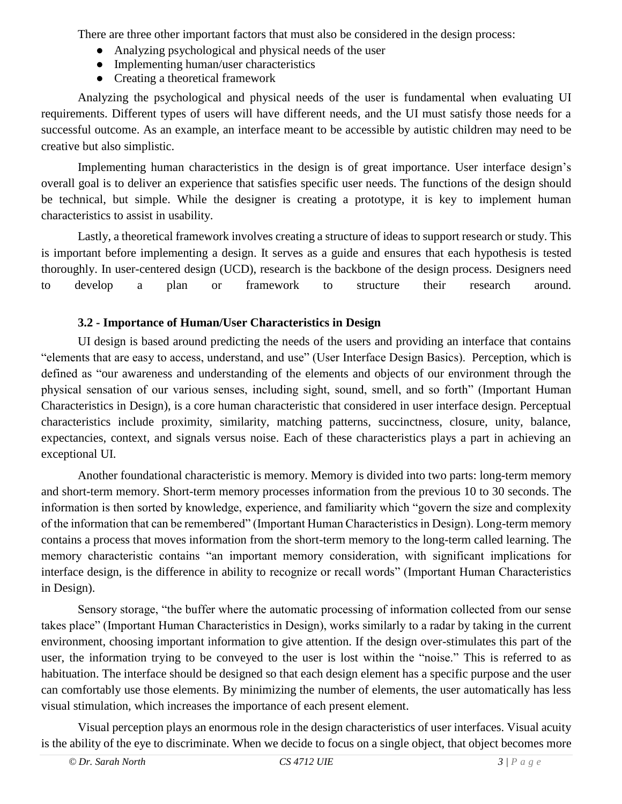There are three other important factors that must also be considered in the design process:

- Analyzing psychological and physical needs of the user
- Implementing human/user characteristics
- Creating a theoretical framework

Analyzing the psychological and physical needs of the user is fundamental when evaluating UI requirements. Different types of users will have different needs, and the UI must satisfy those needs for a successful outcome. As an example, an interface meant to be accessible by autistic children may need to be creative but also simplistic.

Implementing human characteristics in the design is of great importance. User interface design's overall goal is to deliver an experience that satisfies specific user needs. The functions of the design should be technical, but simple. While the designer is creating a prototype, it is key to implement human characteristics to assist in usability.

Lastly, a theoretical framework involves creating a structure of ideas to support research or study. This is important before implementing a design. It serves as a guide and ensures that each hypothesis is tested thoroughly. In user-centered design (UCD), research is the backbone of the design process. Designers need to develop a plan or framework to structure their research around.

## **3.2 - Importance of Human/User Characteristics in Design**

UI design is based around predicting the needs of the users and providing an interface that contains "elements that are easy to access, understand, and use" (User Interface Design Basics). Perception, which is defined as "our awareness and understanding of the elements and objects of our environment through the physical sensation of our various senses, including sight, sound, smell, and so forth" (Important Human Characteristics in Design), is a core human characteristic that considered in user interface design. Perceptual characteristics include proximity, similarity, matching patterns, succinctness, closure, unity, balance, expectancies, context, and signals versus noise. Each of these characteristics plays a part in achieving an exceptional UI.

Another foundational characteristic is memory. Memory is divided into two parts: long-term memory and short-term memory. Short-term memory processes information from the previous 10 to 30 seconds. The information is then sorted by knowledge, experience, and familiarity which "govern the size and complexity of the information that can be remembered" (Important Human Characteristics in Design). Long-term memory contains a process that moves information from the short-term memory to the long-term called learning. The memory characteristic contains "an important memory consideration, with significant implications for interface design, is the difference in ability to recognize or recall words" (Important Human Characteristics in Design).

Sensory storage, "the buffer where the automatic processing of information collected from our sense takes place" (Important Human Characteristics in Design), works similarly to a radar by taking in the current environment, choosing important information to give attention. If the design over-stimulates this part of the user, the information trying to be conveyed to the user is lost within the "noise." This is referred to as habituation. The interface should be designed so that each design element has a specific purpose and the user can comfortably use those elements. By minimizing the number of elements, the user automatically has less visual stimulation, which increases the importance of each present element.

Visual perception plays an enormous role in the design characteristics of user interfaces. Visual acuity is the ability of the eye to discriminate. When we decide to focus on a single object, that object becomes more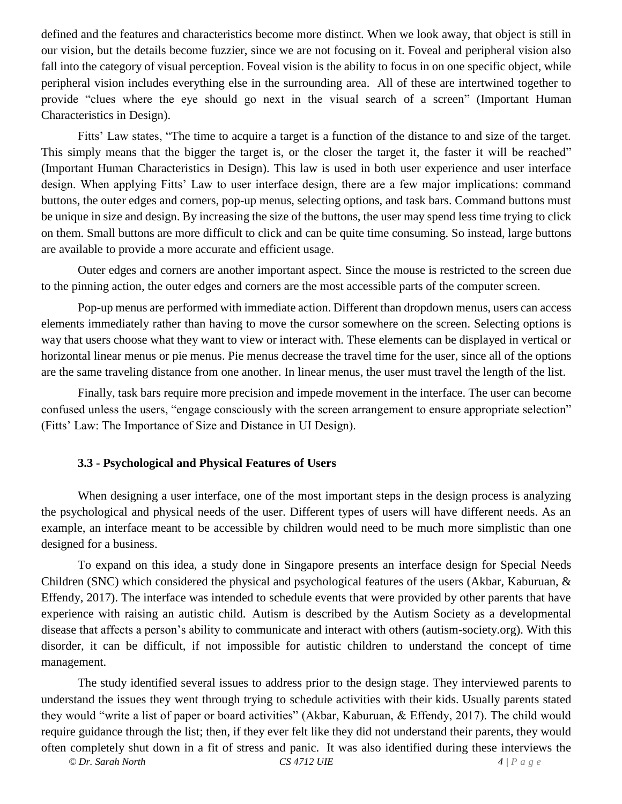defined and the features and characteristics become more distinct. When we look away, that object is still in our vision, but the details become fuzzier, since we are not focusing on it. Foveal and peripheral vision also fall into the category of visual perception. Foveal vision is the ability to focus in on one specific object, while peripheral vision includes everything else in the surrounding area. All of these are intertwined together to provide "clues where the eye should go next in the visual search of a screen" (Important Human Characteristics in Design).

Fitts' Law states, "The time to acquire a target is a function of the distance to and size of the target. This simply means that the bigger the target is, or the closer the target it, the faster it will be reached" (Important Human Characteristics in Design). This law is used in both user experience and user interface design. When applying Fitts' Law to user interface design, there are a few major implications: command buttons, the outer edges and corners, pop-up menus, selecting options, and task bars. Command buttons must be unique in size and design. By increasing the size of the buttons, the user may spend less time trying to click on them. Small buttons are more difficult to click and can be quite time consuming. So instead, large buttons are available to provide a more accurate and efficient usage.

Outer edges and corners are another important aspect. Since the mouse is restricted to the screen due to the pinning action, the outer edges and corners are the most accessible parts of the computer screen.

Pop-up menus are performed with immediate action. Different than dropdown menus, users can access elements immediately rather than having to move the cursor somewhere on the screen. Selecting options is way that users choose what they want to view or interact with. These elements can be displayed in vertical or horizontal linear menus or pie menus. Pie menus decrease the travel time for the user, since all of the options are the same traveling distance from one another. In linear menus, the user must travel the length of the list.

Finally, task bars require more precision and impede movement in the interface. The user can become confused unless the users, "engage consciously with the screen arrangement to ensure appropriate selection" (Fitts' Law: The Importance of Size and Distance in UI Design).

### **3.3 - Psychological and Physical Features of Users**

 When designing a user interface, one of the most important steps in the design process is analyzing the psychological and physical needs of the user. Different types of users will have different needs. As an example, an interface meant to be accessible by children would need to be much more simplistic than one designed for a business.

To expand on this idea, a study done in Singapore presents an interface design for Special Needs Children (SNC) which considered the physical and psychological features of the users (Akbar, Kaburuan, & Effendy, 2017). The interface was intended to schedule events that were provided by other parents that have experience with raising an autistic child. Autism is described by the Autism Society as a developmental disease that affects a person's ability to communicate and interact with others (autism-society.org). With this disorder, it can be difficult, if not impossible for autistic children to understand the concept of time management.

The study identified several issues to address prior to the design stage. They interviewed parents to understand the issues they went through trying to schedule activities with their kids. Usually parents stated they would "write a list of paper or board activities" (Akbar, Kaburuan, & Effendy, 2017). The child would require guidance through the list; then, if they ever felt like they did not understand their parents, they would often completely shut down in a fit of stress and panic. It was also identified during these interviews the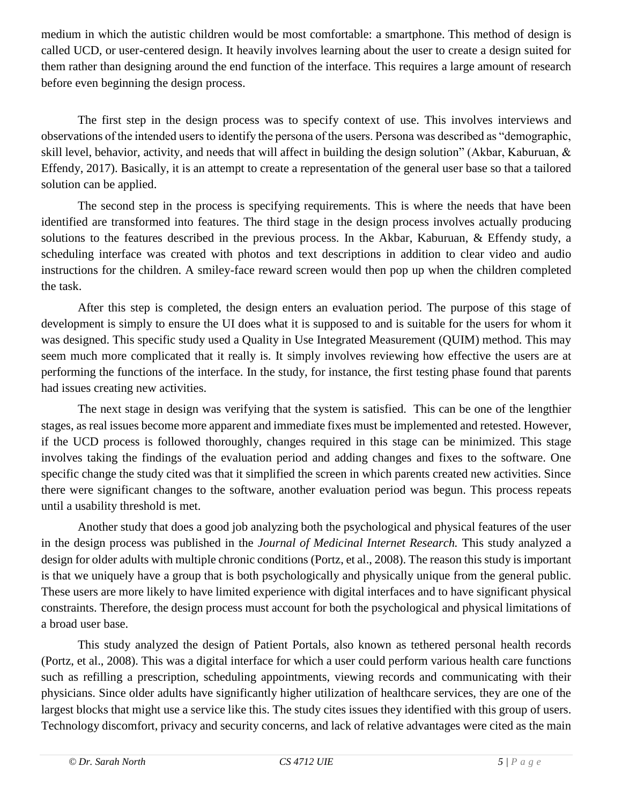medium in which the autistic children would be most comfortable: a smartphone. This method of design is called UCD, or user-centered design. It heavily involves learning about the user to create a design suited for them rather than designing around the end function of the interface. This requires a large amount of research before even beginning the design process.

The first step in the design process was to specify context of use. This involves interviews and observations of the intended users to identify the persona of the users. Persona was described as "demographic, skill level, behavior, activity, and needs that will affect in building the design solution" (Akbar, Kaburuan, & Effendy, 2017). Basically, it is an attempt to create a representation of the general user base so that a tailored solution can be applied.

The second step in the process is specifying requirements. This is where the needs that have been identified are transformed into features. The third stage in the design process involves actually producing solutions to the features described in the previous process. In the Akbar, Kaburuan, & Effendy study, a scheduling interface was created with photos and text descriptions in addition to clear video and audio instructions for the children. A smiley-face reward screen would then pop up when the children completed the task.

After this step is completed, the design enters an evaluation period. The purpose of this stage of development is simply to ensure the UI does what it is supposed to and is suitable for the users for whom it was designed. This specific study used a Quality in Use Integrated Measurement (QUIM) method. This may seem much more complicated that it really is. It simply involves reviewing how effective the users are at performing the functions of the interface. In the study, for instance, the first testing phase found that parents had issues creating new activities.

The next stage in design was verifying that the system is satisfied. This can be one of the lengthier stages, as real issues become more apparent and immediate fixes must be implemented and retested. However, if the UCD process is followed thoroughly, changes required in this stage can be minimized. This stage involves taking the findings of the evaluation period and adding changes and fixes to the software. One specific change the study cited was that it simplified the screen in which parents created new activities. Since there were significant changes to the software, another evaluation period was begun. This process repeats until a usability threshold is met.

Another study that does a good job analyzing both the psychological and physical features of the user in the design process was published in the *Journal of Medicinal Internet Research.* This study analyzed a design for older adults with multiple chronic conditions (Portz, et al., 2008). The reason this study is important is that we uniquely have a group that is both psychologically and physically unique from the general public. These users are more likely to have limited experience with digital interfaces and to have significant physical constraints. Therefore, the design process must account for both the psychological and physical limitations of a broad user base.

This study analyzed the design of Patient Portals, also known as tethered personal health records (Portz, et al., 2008). This was a digital interface for which a user could perform various health care functions such as refilling a prescription, scheduling appointments, viewing records and communicating with their physicians. Since older adults have significantly higher utilization of healthcare services, they are one of the largest blocks that might use a service like this. The study cites issues they identified with this group of users. Technology discomfort, privacy and security concerns, and lack of relative advantages were cited as the main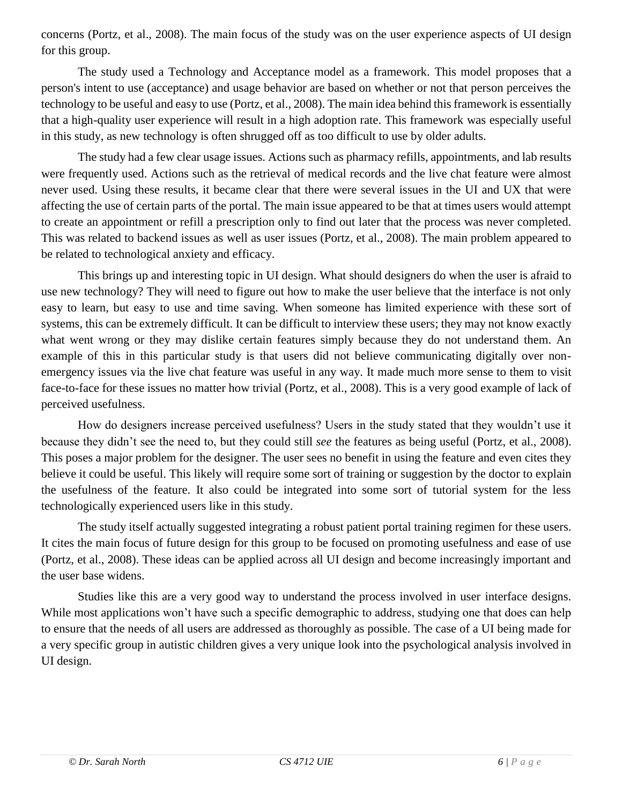concerns (Portz, et al., 2008). The main focus of the study was on the user experience aspects of UI design for this group.

The study used a Technology and Acceptance model as a framework. This model proposes that a person's intent to use (acceptance) and usage behavior are based on whether or not that person perceives the technology to be useful and easy to use (Portz, et al., 2008). The main idea behind this framework is essentially that a high-quality user experience will result in a high adoption rate. This framework was especially useful in this study, as new technology is often shrugged off as too difficult to use by older adults.

The study had a few clear usage issues. Actions such as pharmacy refills, appointments, and lab results were frequently used. Actions such as the retrieval of medical records and the live chat feature were almost never used. Using these results, it became clear that there were several issues in the UI and UX that were affecting the use of certain parts of the portal. The main issue appeared to be that at times users would attempt to create an appointment or refill a prescription only to find out later that the process was never completed. This was related to backend issues as well as user issues (Portz, et al., 2008). The main problem appeared to be related to technological anxiety and efficacy.

This brings up and interesting topic in UI design. What should designers do when the user is afraid to use new technology? They will need to figure out how to make the user believe that the interface is not only easy to learn, but easy to use and time saving. When someone has limited experience with these sort of systems, this can be extremely difficult. It can be difficult to interview these users; they may not know exactly what went wrong or they may dislike certain features simply because they do not understand them. An example of this in this particular study is that users did not believe communicating digitally over nonemergency issues via the live chat feature was useful in any way. It made much more sense to them to visit face-to-face for these issues no matter how trivial (Portz, et al., 2008). This is a very good example of lack of perceived usefulness.

How do designers increase perceived usefulness? Users in the study stated that they wouldn't use it because they didn't see the need to, but they could still *see* the features as being useful (Portz, et al., 2008). This poses a major problem for the designer. The user sees no benefit in using the feature and even cites they believe it could be useful. This likely will require some sort of training or suggestion by the doctor to explain the usefulness of the feature. It also could be integrated into some sort of tutorial system for the less technologically experienced users like in this study.

The study itself actually suggested integrating a robust patient portal training regimen for these users. It cites the main focus of future design for this group to be focused on promoting usefulness and ease of use (Portz, et al., 2008). These ideas can be applied across all UI design and become increasingly important and the user base widens.

Studies like this are a very good way to understand the process involved in user interface designs. While most applications won't have such a specific demographic to address, studying one that does can help to ensure that the needs of all users are addressed as thoroughly as possible. The case of a UI being made for a very specific group in autistic children gives a very unique look into the psychological analysis involved in UI design.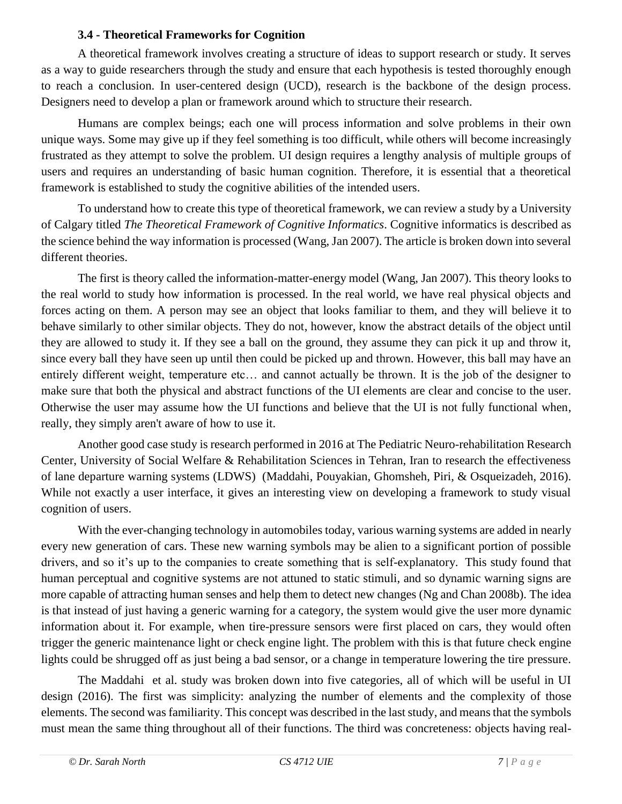### **3.4 - Theoretical Frameworks for Cognition**

 A theoretical framework involves creating a structure of ideas to support research or study. It serves as a way to guide researchers through the study and ensure that each hypothesis is tested thoroughly enough to reach a conclusion. In user-centered design (UCD), research is the backbone of the design process. Designers need to develop a plan or framework around which to structure their research.

Humans are complex beings; each one will process information and solve problems in their own unique ways. Some may give up if they feel something is too difficult, while others will become increasingly frustrated as they attempt to solve the problem. UI design requires a lengthy analysis of multiple groups of users and requires an understanding of basic human cognition. Therefore, it is essential that a theoretical framework is established to study the cognitive abilities of the intended users.

To understand how to create this type of theoretical framework, we can review a study by a University of Calgary titled *The Theoretical Framework of Cognitive Informatics*. Cognitive informatics is described as the science behind the way information is processed (Wang, Jan 2007). The article is broken down into several different theories.

The first is theory called the information-matter-energy model (Wang, Jan 2007). This theory looks to the real world to study how information is processed. In the real world, we have real physical objects and forces acting on them. A person may see an object that looks familiar to them, and they will believe it to behave similarly to other similar objects. They do not, however, know the abstract details of the object until they are allowed to study it. If they see a ball on the ground, they assume they can pick it up and throw it, since every ball they have seen up until then could be picked up and thrown. However, this ball may have an entirely different weight, temperature etc… and cannot actually be thrown. It is the job of the designer to make sure that both the physical and abstract functions of the UI elements are clear and concise to the user. Otherwise the user may assume how the UI functions and believe that the UI is not fully functional when, really, they simply aren't aware of how to use it.

Another good case study is research performed in 2016 at The Pediatric Neuro-rehabilitation Research Center, University of Social Welfare & Rehabilitation Sciences in Tehran, Iran to research the effectiveness of lane departure warning systems (LDWS) (Maddahi, Pouyakian, Ghomsheh, Piri, & Osqueizadeh, 2016). While not exactly a user interface, it gives an interesting view on developing a framework to study visual cognition of users.

With the ever-changing technology in automobiles today, various warning systems are added in nearly every new generation of cars. These new warning symbols may be alien to a significant portion of possible drivers, and so it's up to the companies to create something that is self-explanatory. This study found that human perceptual and cognitive systems are not attuned to static stimuli, and so dynamic warning signs are more capable of attracting human senses and help them to detect new changes (Ng and Chan 2008b). The idea is that instead of just having a generic warning for a category, the system would give the user more dynamic information about it. For example, when tire-pressure sensors were first placed on cars, they would often trigger the generic maintenance light or check engine light. The problem with this is that future check engine lights could be shrugged off as just being a bad sensor, or a change in temperature lowering the tire pressure.

The Maddahi et al. study was broken down into five categories, all of which will be useful in UI design (2016). The first was simplicity: analyzing the number of elements and the complexity of those elements. The second was familiarity. This concept was described in the last study, and means that the symbols must mean the same thing throughout all of their functions. The third was concreteness: objects having real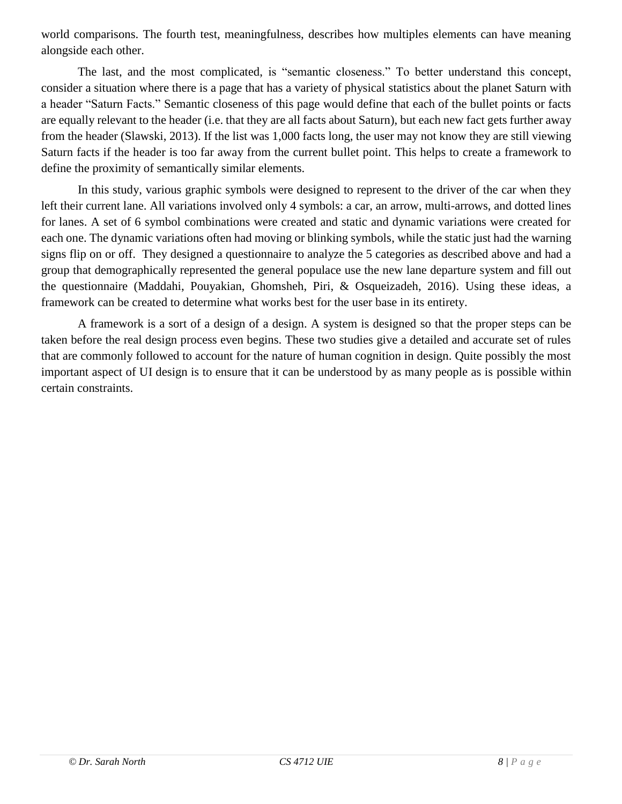world comparisons. The fourth test, meaningfulness, describes how multiples elements can have meaning alongside each other.

The last, and the most complicated, is "semantic closeness." To better understand this concept, consider a situation where there is a page that has a variety of physical statistics about the planet Saturn with a header "Saturn Facts." Semantic closeness of this page would define that each of the bullet points or facts are equally relevant to the header (i.e. that they are all facts about Saturn), but each new fact gets further away from the header (Slawski, 2013). If the list was 1,000 facts long, the user may not know they are still viewing Saturn facts if the header is too far away from the current bullet point. This helps to create a framework to define the proximity of semantically similar elements.

In this study, various graphic symbols were designed to represent to the driver of the car when they left their current lane. All variations involved only 4 symbols: a car, an arrow, multi-arrows, and dotted lines for lanes. A set of 6 symbol combinations were created and static and dynamic variations were created for each one. The dynamic variations often had moving or blinking symbols, while the static just had the warning signs flip on or off. They designed a questionnaire to analyze the 5 categories as described above and had a group that demographically represented the general populace use the new lane departure system and fill out the questionnaire (Maddahi, Pouyakian, Ghomsheh, Piri, & Osqueizadeh, 2016). Using these ideas, a framework can be created to determine what works best for the user base in its entirety.

A framework is a sort of a design of a design. A system is designed so that the proper steps can be taken before the real design process even begins. These two studies give a detailed and accurate set of rules that are commonly followed to account for the nature of human cognition in design. Quite possibly the most important aspect of UI design is to ensure that it can be understood by as many people as is possible within certain constraints.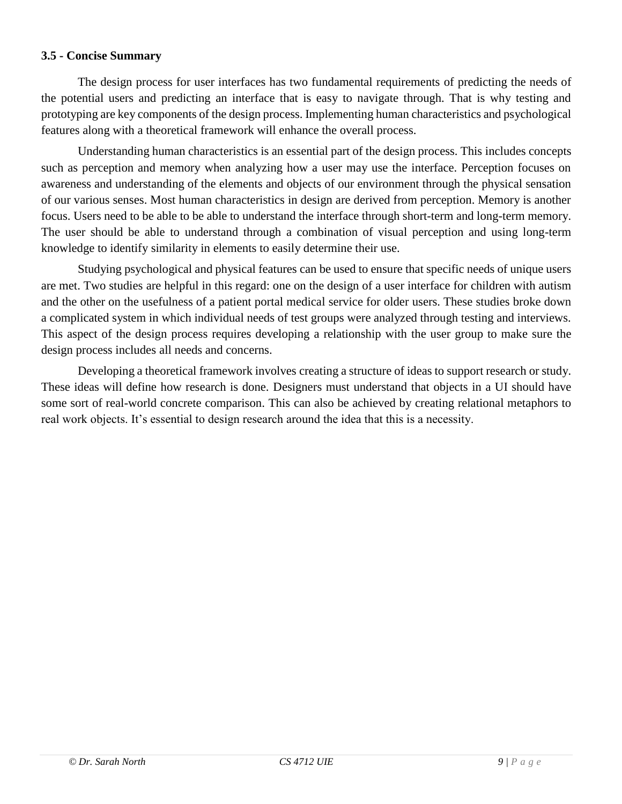#### **3.5 - Concise Summary**

The design process for user interfaces has two fundamental requirements of predicting the needs of the potential users and predicting an interface that is easy to navigate through. That is why testing and prototyping are key components of the design process. Implementing human characteristics and psychological features along with a theoretical framework will enhance the overall process.

Understanding human characteristics is an essential part of the design process. This includes concepts such as perception and memory when analyzing how a user may use the interface. Perception focuses on awareness and understanding of the elements and objects of our environment through the physical sensation of our various senses. Most human characteristics in design are derived from perception. Memory is another focus. Users need to be able to be able to understand the interface through short-term and long-term memory. The user should be able to understand through a combination of visual perception and using long-term knowledge to identify similarity in elements to easily determine their use.

Studying psychological and physical features can be used to ensure that specific needs of unique users are met. Two studies are helpful in this regard: one on the design of a user interface for children with autism and the other on the usefulness of a patient portal medical service for older users. These studies broke down a complicated system in which individual needs of test groups were analyzed through testing and interviews. This aspect of the design process requires developing a relationship with the user group to make sure the design process includes all needs and concerns.

Developing a theoretical framework involves creating a structure of ideas to support research or study. These ideas will define how research is done. Designers must understand that objects in a UI should have some sort of real-world concrete comparison. This can also be achieved by creating relational metaphors to real work objects. It's essential to design research around the idea that this is a necessity.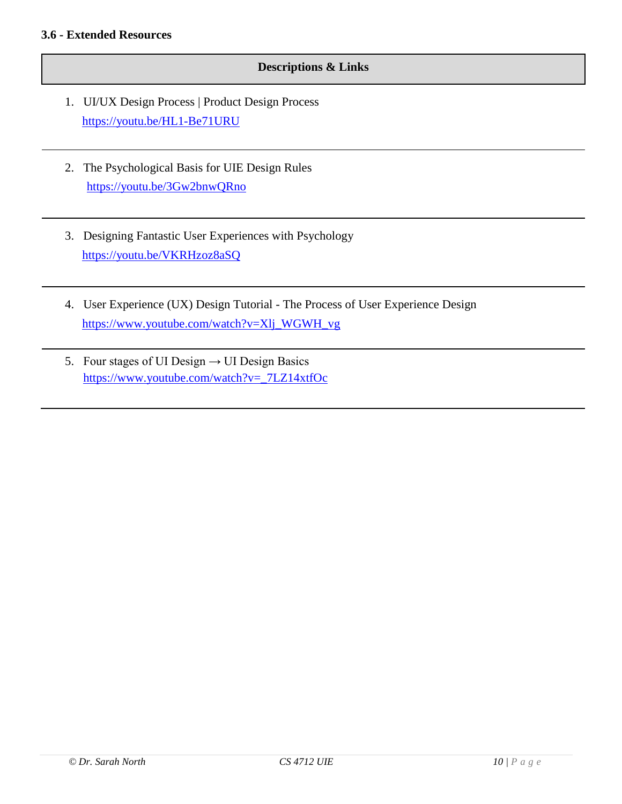#### **Descriptions & Links**

- 1. UI/UX Design Process | Product Design Process <https://youtu.be/HL1-Be71URU>
- 2. The Psychological Basis for UIE Design Rules <https://youtu.be/3Gw2bnwQRno>
- 3. Designing Fantastic User Experiences with Psychology <https://youtu.be/VKRHzoz8aSQ>
- 4. User Experience (UX) Design Tutorial The Process of User Experience Design [https://www.youtube.com/watch?v=Xlj\\_WGWH\\_vg](https://www.youtube.com/watch?v=Xlj_WGWH_vg)
- 5. Four stages of UI Design  $\rightarrow$  UI Design Basics [https://www.youtube.com/watch?v=\\_7LZ14xtfOc](https://www.youtube.com/watch?v=_7LZ14xtfOc)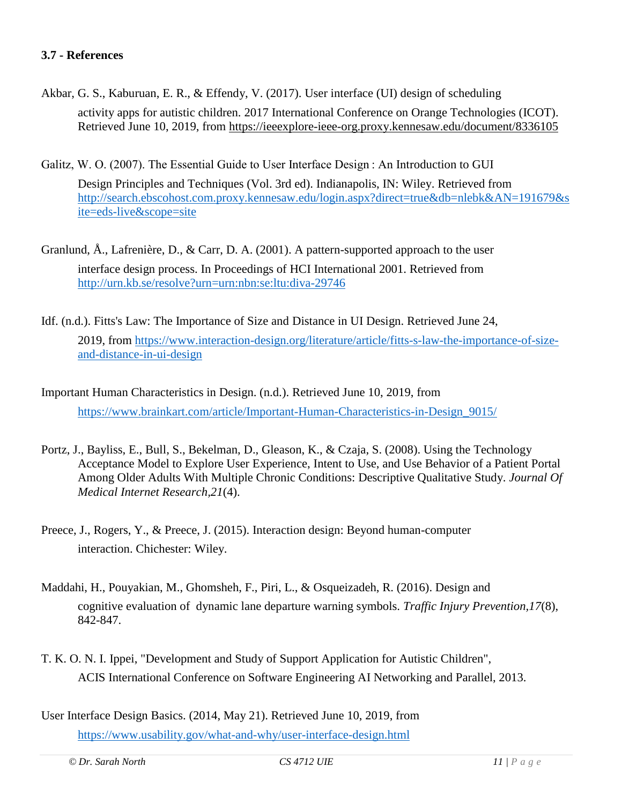#### **3.7 - References**

- Akbar, G. S., Kaburuan, E. R., & Effendy, V. (2017). User interface (UI) design of scheduling activity apps for autistic children. 2017 International Conference on Orange Technologies (ICOT). Retrieved June 10, 2019, from<https://ieeexplore-ieee-org.proxy.kennesaw.edu/document/8336105>
- Galitz, W. O. (2007). The Essential Guide to User Interface Design : An Introduction to GUI Design Principles and Techniques (Vol. 3rd ed). Indianapolis, IN: Wiley. Retrieved from [http://search.ebscohost.com.proxy.kennesaw.edu/login.aspx?direct=true&db=nlebk&AN=191679&s](http://search.ebscohost.com.proxy.kennesaw.edu/login.aspx?direct=true&db=nlebk&AN=191679&site=eds-live&scope=site) [ite=eds-live&scope=site](http://search.ebscohost.com.proxy.kennesaw.edu/login.aspx?direct=true&db=nlebk&AN=191679&site=eds-live&scope=site)
- Granlund, Å., Lafrenière, D., & Carr, D. A. (2001). A pattern-supported approach to the user interface design process. In Proceedings of HCI International 2001. Retrieved from <http://urn.kb.se/resolve?urn=urn:nbn:se:ltu:diva-29746>
- Idf. (n.d.). Fitts's Law: The Importance of Size and Distance in UI Design. Retrieved June 24, 2019, from [https://www.interaction-design.org/literature/article/fitts-s-law-the-importance-of-size](https://www.interaction-design.org/literature/article/fitts-s-law-the-importance-of-size-and-distance-in-ui-design)[and-distance-in-ui-design](https://www.interaction-design.org/literature/article/fitts-s-law-the-importance-of-size-and-distance-in-ui-design)
- Important Human Characteristics in Design. (n.d.). Retrieved June 10, 2019, from [https://www.brainkart.com/article/Important-Human-Characteristics-in-Design\\_9015/](https://www.brainkart.com/article/Important-Human-Characteristics-in-Design_9015/)
- Portz, J., Bayliss, E., Bull, S., Bekelman, D., Gleason, K., & Czaja, S. (2008). Using the Technology Acceptance Model to Explore User Experience, Intent to Use, and Use Behavior of a Patient Portal Among Older Adults With Multiple Chronic Conditions: Descriptive Qualitative Study. *Journal Of Medical Internet Research,21*(4).
- Preece, J., Rogers, Y., & Preece, J. (2015). Interaction design: Beyond human-computer interaction. Chichester: Wiley.
- Maddahi, H., Pouyakian, M., Ghomsheh, F., Piri, L., & Osqueizadeh, R. (2016). Design and cognitive evaluation of dynamic lane departure warning symbols. *Traffic Injury Prevention,17*(8), 842-847.
- T. K. O. N. I. Ippei, "Development and Study of Support Application for Autistic Children", ACIS International Conference on Software Engineering AI Networking and Parallel, 2013.
- User Interface Design Basics. (2014, May 21). Retrieved June 10, 2019, from <https://www.usability.gov/what-and-why/user-interface-design.html>